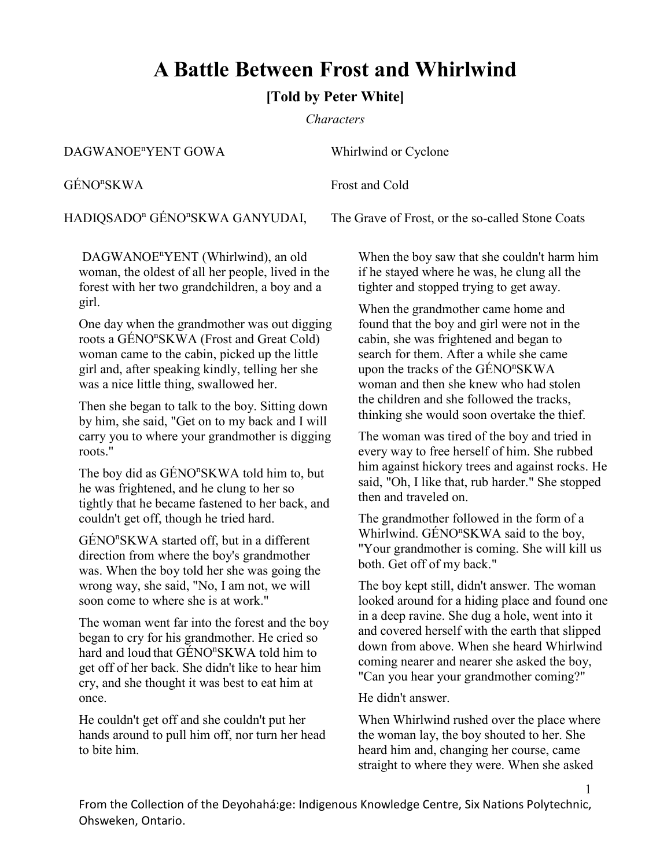## **A Battle Between Frost and Whirlwind**

## **[Told by Peter White]**

*Characters*

## DAGWANOE<sup>n</sup>YENT GOWA

GÉNO<sup>n</sup>SKWA

Whirlwind or Cyclone

Frost and Cold

HADIQSADO<sup>n</sup> GÉNO<sup>n</sup>SKWA GANYUDAI,

The Grave of Frost, or the so-called Stone Coats

DAGWANOE<sup>n</sup>YENT (Whirlwind), an old woman, the oldest of all her people, lived in the forest with her two grandchildren, a boy and a girl.

One day when the grandmother was out digging roots a GÉNO<sup>n</sup>SKWA (Frost and Great Cold) woman came to the cabin, picked up the little girl and, after speaking kindly, telling her she was a nice little thing, swallowed her.

Then she began to talk to the boy. Sitting down by him, she said, "Get on to my back and I will carry you to where your grandmother is digging roots."

The boy did as GÉNO<sup>n</sup>SKWA told him to, but he was frightened, and he clung to her so tightly that he became fastened to her back, and couldn't get off, though he tried hard.

GÉNO<sup>n</sup>SKWA started off, but in a different direction from where the boy's grandmother was. When the boy told her she was going the wrong way, she said, "No, I am not, we will soon come to where she is at work."

The woman went far into the forest and the boy began to cry for his grandmother. He cried so hard and loud that GÉNO<sup>n</sup>SKWA told him to get off of her back. She didn't like to hear him cry, and she thought it was best to eat him at once.

He couldn't get off and she couldn't put her hands around to pull him off, nor turn her head to bite him.

When the boy saw that she couldn't harm him if he stayed where he was, he clung all the tighter and stopped trying to get away.

When the grandmother came home and found that the boy and girl were not in the cabin, she was frightened and began to search for them. After a while she came upon the tracks of the GÉNO<sup>n</sup>SKWA woman and then she knew who had stolen the children and she followed the tracks, thinking she would soon overtake the thief.

The woman was tired of the boy and tried in every way to free herself of him. She rubbed him against hickory trees and against rocks. He said, "Oh, I like that, rub harder." She stopped then and traveled on.

The grandmother followed in the form of a Whirlwind. GÉNO<sup>n</sup>SKWA said to the boy, "Your grandmother is coming. She will kill us both. Get off of my back."

The boy kept still, didn't answer. The woman looked around for a hiding place and found one in a deep ravine. She dug a hole, went into it and covered herself with the earth that slipped down from above. When she heard Whirlwind coming nearer and nearer she asked the boy, "Can you hear your grandmother coming?"

He didn't answer.

When Whirlwind rushed over the place where the woman lay, the boy shouted to her. She heard him and, changing her course, came straight to where they were. When she asked

1

From the Collection of the Deyohahá:ge: Indigenous Knowledge Centre, Six Nations Polytechnic, Ohsweken, Ontario.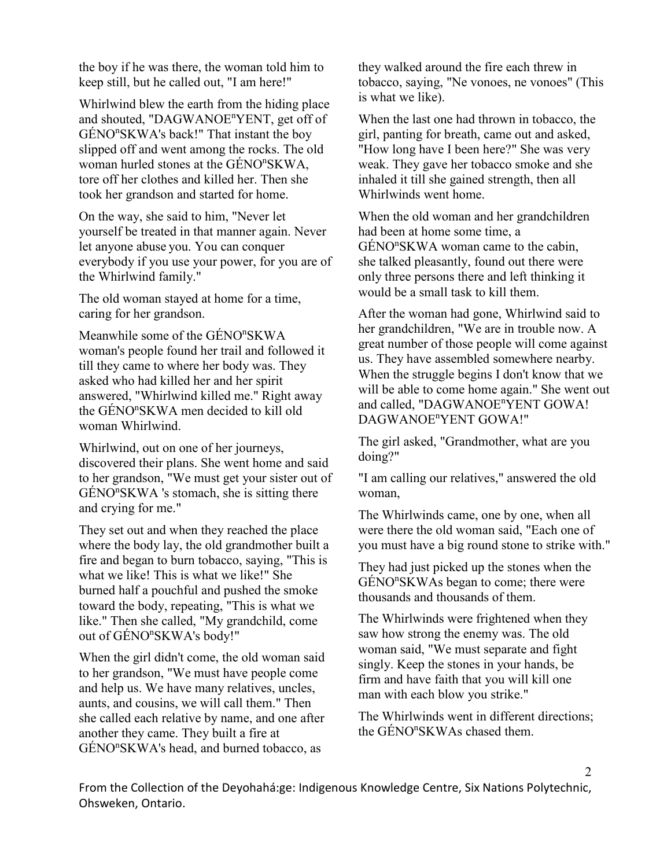the boy if he was there, the woman told him to keep still, but he called out, "I am here!"

Whirlwind blew the earth from the hiding place and shouted, "DAGWANOE<sup>n</sup>YENT, get off of GÉNO<sup>n</sup>SKWA's back!" That instant the boy slipped off and went among the rocks. The old woman hurled stones at the GÉNO<sup>n</sup>SKWA, tore off her clothes and killed her. Then she took her grandson and started for home.

On the way, she said to him, "Never let yourself be treated in that manner again. Never let anyone abuse you. You can conquer everybody if you use your power, for you are of the Whirlwind family."

The old woman stayed at home for a time, caring for her grandson.

Meanwhile some of the GÉNO<sup>n</sup>SKWA woman's people found her trail and followed it till they came to where her body was. They asked who had killed her and her spirit answered, "Whirlwind killed me." Right away the GÉNO<sup>n</sup>SKWA men decided to kill old woman Whirlwind.

Whirlwind, out on one of her journeys, discovered their plans. She went home and said to her grandson, "We must get your sister out of GÉNO<sup>n</sup>SKWA 's stomach, she is sitting there and crying for me."

They set out and when they reached the place where the body lay, the old grandmother built a fire and began to burn tobacco, saying, "This is what we like! This is what we like!" She burned half a pouchful and pushed the smoke toward the body, repeating, "This is what we like." Then she called, "My grandchild, come out of GÉNO<sup>n</sup>SKWA's body!"

When the girl didn't come, the old woman said to her grandson, "We must have people come and help us. We have many relatives, uncles, aunts, and cousins, we will call them." Then she called each relative by name, and one after another they came. They built a fire at GÉNO<sup>n</sup>SKWA's head, and burned tobacco, as

they walked around the fire each threw in tobacco, saying, "Ne vonoes, ne vonoes" (This is what we like).

When the last one had thrown in tobacco, the girl, panting for breath, came out and asked, "How long have I been here?" She was very weak. They gave her tobacco smoke and she inhaled it till she gained strength, then all Whirlwinds went home.

When the old woman and her grandchildren had been at home some time, a GÉNO<sup>n</sup>SKWA woman came to the cabin, she talked pleasantly, found out there were only three persons there and left thinking it would be a small task to kill them.

After the woman had gone, Whirlwind said to her grandchildren, "We are in trouble now. A great number of those people will come against us. They have assembled somewhere nearby. When the struggle begins I don't know that we will be able to come home again." She went out and called, "DAGWANOE"YENT GOWA! DAGWANOEn YENT GOWA!"

The girl asked, "Grandmother, what are you doing?"

"I am calling our relatives," answered the old woman,

The Whirlwinds came, one by one, when all were there the old woman said, "Each one of you must have a big round stone to strike with."

They had just picked up the stones when the GÉNO<sup>n</sup>SKWAs began to come; there were thousands and thousands of them.

The Whirlwinds were frightened when they saw how strong the enemy was. The old woman said, "We must separate and fight singly. Keep the stones in your hands, be firm and have faith that you will kill one man with each blow you strike."

The Whirlwinds went in different directions; the GÉNO<sup>n</sup>SKWAs chased them.

From the Collection of the Deyohahá:ge: Indigenous Knowledge Centre, Six Nations Polytechnic, Ohsweken, Ontario.